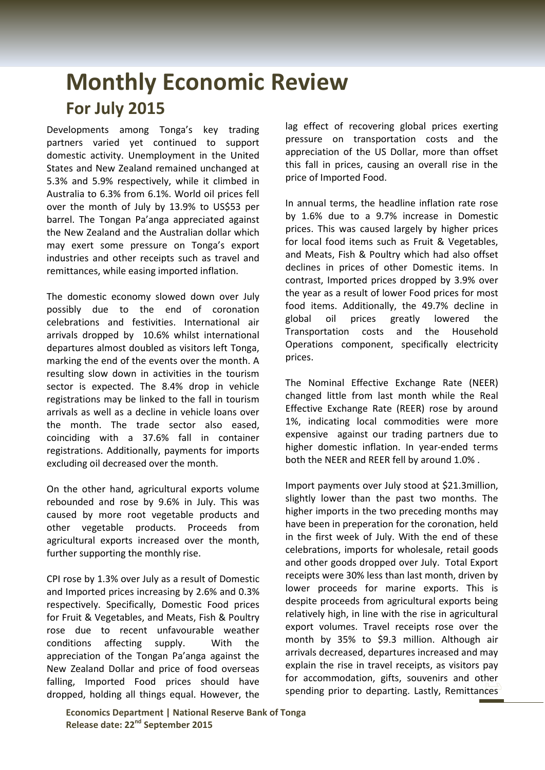## **Monthly Economic Review For July 2015**

Developments among Tonga's key trading partners varied yet continued to support domestic activity. Unemployment in the United States and New Zealand remained unchanged at 5.3% and 5.9% respectively, while it climbed in Australia to 6.3% from 6.1%. World oil prices fell over the month of July by 13.9% to US\$53 per barrel. The Tongan Pa'anga appreciated against the New Zealand and the Australian dollar which may exert some pressure on Tonga's export industries and other receipts such as travel and remittances, while easing imported inflation.

The domestic economy slowed down over July possibly due to the end of coronation celebrations and festivities. International air arrivals dropped by 10.6% whilst international departures almost doubled as visitors left Tonga, marking the end of the events over the month. A resulting slow down in activities in the tourism sector is expected. The 8.4% drop in vehicle registrations may be linked to the fall in tourism arrivals as well as a decline in vehicle loans over the month. The trade sector also eased, coinciding with a 37.6% fall in container registrations. Additionally, payments for imports excluding oil decreased over the month.

On the other hand, agricultural exports volume rebounded and rose by 9.6% in July. This was caused by more root vegetable products and other vegetable products. Proceeds from agricultural exports increased over the month, further supporting the monthly rise.

CPI rose by 1.3% over July as a result of Domestic and Imported prices increasing by 2.6% and 0.3% respectively. Specifically, Domestic Food prices for Fruit & Vegetables, and Meats, Fish & Poultry rose due to recent unfavourable weather conditions affecting supply. With the appreciation of the Tongan Pa'anga against the New Zealand Dollar and price of food overseas falling, Imported Food prices should have dropped, holding all things equal. However, the lag effect of recovering global prices exerting pressure on transportation costs and the appreciation of the US Dollar, more than offset this fall in prices, causing an overall rise in the price of Imported Food.

In annual terms, the headline inflation rate rose by 1.6% due to a 9.7% increase in Domestic prices. This was caused largely by higher prices for local food items such as Fruit & Vegetables, and Meats, Fish & Poultry which had also offset declines in prices of other Domestic items. In contrast, Imported prices dropped by 3.9% over the year as a result of lower Food prices for most food items. Additionally, the 49.7% decline in global oil prices greatly lowered the Transportation costs and the Household Operations component, specifically electricity prices.

The Nominal Effective Exchange Rate (NEER) changed little from last month while the Real Effective Exchange Rate (REER) rose by around 1%, indicating local commodities were more expensive against our trading partners due to higher domestic inflation. In year-ended terms both the NEER and REER fell by around 1.0% .

Import payments over July stood at \$21.3million, slightly lower than the past two months. The higher imports in the two preceding months may have been in preperation for the coronation, held in the first week of July. With the end of these celebrations, imports for wholesale, retail goods and other goods dropped over July. Total Export receipts were 30% less than last month, driven by lower proceeds for marine exports. This is despite proceeds from agricultural exports being relatively high, in line with the rise in agricultural export volumes. Travel receipts rose over the month by 35% to \$9.3 million. Although air arrivals decreased, departures increased and may explain the rise in travel receipts, as visitors pay for accommodation, gifts, souvenirs and other spending prior to departing. Lastly, Remittances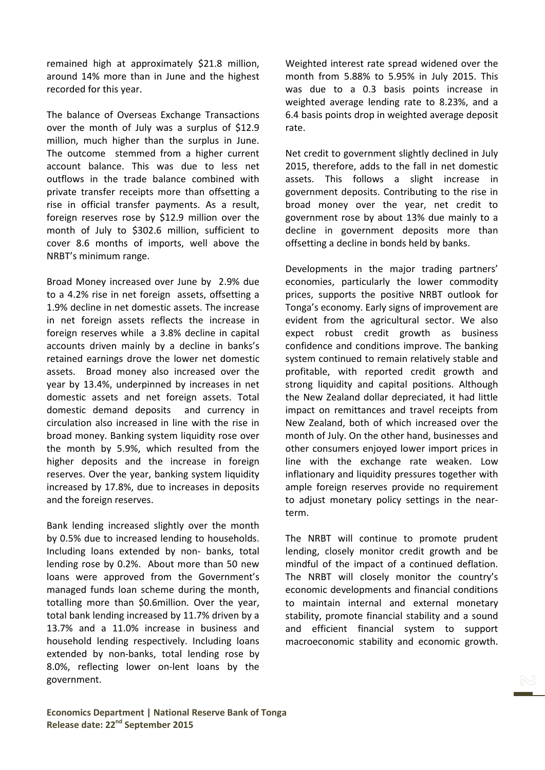remained high at approximately \$21.8 million, around 14% more than in June and the highest recorded for this year.

The balance of Overseas Exchange Transactions over the month of July was a surplus of \$12.9 million, much higher than the surplus in June. The outcome stemmed from a higher current account balance. This was due to less net outflows in the trade balance combined with private transfer receipts more than offsetting a rise in official transfer payments. As a result, foreign reserves rose by \$12.9 million over the month of July to \$302.6 million, sufficient to cover 8.6 months of imports, well above the NRBT's minimum range.

Broad Money increased over June by 2.9% due to a 4.2% rise in net foreign assets, offsetting a 1.9% decline in net domestic assets. The increase in net foreign assets reflects the increase in foreign reserves while a 3.8% decline in capital accounts driven mainly by a decline in banks's retained earnings drove the lower net domestic assets. Broad money also increased over the year by 13.4%, underpinned by increases in net domestic assets and net foreign assets. Total domestic demand deposits and currency in circulation also increased in line with the rise in broad money. Banking system liquidity rose over the month by 5.9%, which resulted from the higher deposits and the increase in foreign reserves. Over the year, banking system liquidity increased by 17.8%, due to increases in deposits and the foreign reserves.

Bank lending increased slightly over the month by 0.5% due to increased lending to households. Including loans extended by non- banks, total lending rose by 0.2%. About more than 50 new loans were approved from the Government's managed funds loan scheme during the month, totalling more than \$0.6million. Over the year, total bank lending increased by 11.7% driven by a 13.7% and a 11.0% increase in business and household lending respectively. Including loans extended by non-banks, total lending rose by 8.0%, reflecting lower on-lent loans by the government.

Weighted interest rate spread widened over the month from 5.88% to 5.95% in July 2015. This was due to a 0.3 basis points increase in weighted average lending rate to 8.23%, and a 6.4 basis points drop in weighted average deposit rate.

Net credit to government slightly declined in July 2015, therefore, adds to the fall in net domestic assets. This follows a slight increase in government deposits. Contributing to the rise in broad money over the year, net credit to government rose by about 13% due mainly to a decline in government deposits more than offsetting a decline in bonds held by banks.

Developments in the major trading partners' economies, particularly the lower commodity prices, supports the positive NRBT outlook for Tonga's economy. Early signs of improvement are evident from the agricultural sector. We also expect robust credit growth as business confidence and conditions improve. The banking system continued to remain relatively stable and profitable, with reported credit growth and strong liquidity and capital positions. Although the New Zealand dollar depreciated, it had little impact on remittances and travel receipts from New Zealand, both of which increased over the month of July. On the other hand, businesses and other consumers enjoyed lower import prices in line with the exchange rate weaken. Low inflationary and liquidity pressures together with ample foreign reserves provide no requirement to adjust monetary policy settings in the nearterm.

The NRBT will continue to promote prudent lending, closely monitor credit growth and be mindful of the impact of a continued deflation. The NRBT will closely monitor the country's economic developments and financial conditions to maintain internal and external monetary stability, promote financial stability and a sound and efficient financial system to support macroeconomic stability and economic growth.